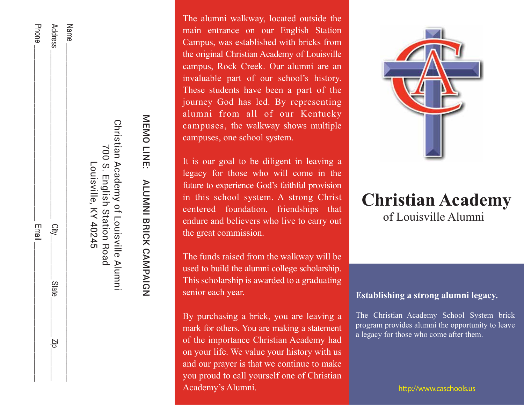| Louisville, KY 40245 |              |              |                                 |
|----------------------|--------------|--------------|---------------------------------|
| Name                 |              |              |                                 |
| Address              | $C_{\rm 4D}$ | <b>State</b> | $\frac{\mathbf{N}}{\mathbf{D}}$ |
| <b>Phone</b>         | Email        |              |                                 |

MEMOLINE: MEMO LINE: ALUMNI BRICK CAMPAIGN ALUNNI BRICK CANPAIGN

Christian Academy of Louisville Alumni 700 S. English Station Road

Christian Academy of Louisville Alumni

700 S.

**English Station Road** 

The alumni walkway, located outside the main entrance on our English Station Campus, was established with bricks from the original Christian Academy of Louisville campus, Rock Creek. Our alumni are an invaluable part of our school's history. These students have been a part of the journey God has led. By representing alumni from all of our Kentucky campuses, the walkway shows multiple campuses, one school system.

It is our goal to be diligent in leaving a legacy for those who will come in the future to experience God's faithful provision in this school system. A strong Christ centered foundation, friendships that endure and believers who live to carry out the great commission.

The funds raised from the walkway will be used to build the alumni college scholarship. This scholarship is awarded to a graduating senior each year.

By purchasing a brick, you are leaving a mark for others. You are making a statement of the importance Christian Academy had on your life. We value your history with us and our prayer is that we continue to make you proud to call yourself one of Christian Academy's Alumni. The contract of the contract of the contract of the contract of the contract of the contract of the contract of the contract of the contract of the contract of the contract of the contract of the contract



# of Louisville Alumni **Christian Academy**

## **Establishing a strong alumni legacy.**

The Christian Academy School System brick program provides alumni the opportunity to leave a legacy for those who come after them.